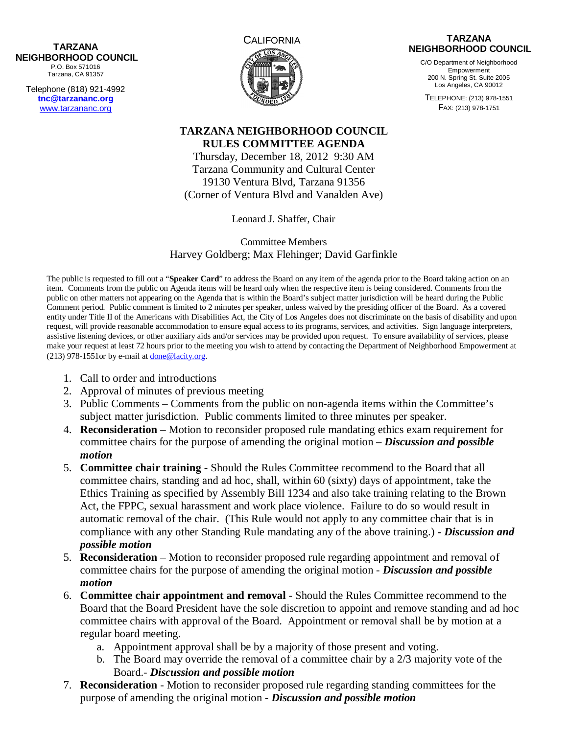## **NEIGHBORHOOD COUNCIL**  P.O. Box 571016

Tarzana, CA 91357

Telephone (818) 921-4992 **tnc@tarzananc.org** www.tarzananc.org



## **TARZANA NEIGHBORHOOD COUNCIL**

C/O Department of Neighborhood Empowerment 200 N. Spring St. Suite 2005 Los Angeles, CA 90012

TELEPHONE: (213) 978-1551 FAX: (213) 978-1751

## **TARZANA NEIGHBORHOOD COUNCIL RULES COMMITTEE AGENDA**

Thursday, December 18, 2012 9:30 AM Tarzana Community and Cultural Center 19130 Ventura Blvd, Tarzana 91356 (Corner of Ventura Blvd and Vanalden Ave)

Leonard J. Shaffer, Chair

Committee Members Harvey Goldberg; Max Flehinger; David Garfinkle

The public is requested to fill out a "**Speaker Card**" to address the Board on any item of the agenda prior to the Board taking action on an item. Comments from the public on Agenda items will be heard only when the respective item is being considered. Comments from the public on other matters not appearing on the Agenda that is within the Board's subject matter jurisdiction will be heard during the Public Comment period. Public comment is limited to 2 minutes per speaker, unless waived by the presiding officer of the Board. As a covered entity under Title II of the Americans with Disabilities Act, the City of Los Angeles does not discriminate on the basis of disability and upon request, will provide reasonable accommodation to ensure equal access to its programs, services, and activities. Sign language interpreters, assistive listening devices, or other auxiliary aids and/or services may be provided upon request. To ensure availability of services, please make your request at least 72 hours prior to the meeting you wish to attend by contacting the Department of Neighborhood Empowerment at (213) 978-1551or by e-mail at done@lacity.org.

- 1. Call to order and introductions
- 2. Approval of minutes of previous meeting
- 3. Public Comments Comments from the public on non-agenda items within the Committee's subject matter jurisdiction. Public comments limited to three minutes per speaker.
- 4. **Reconsideration** Motion to reconsider proposed rule mandating ethics exam requirement for committee chairs for the purpose of amending the original motion – *Discussion and possible motion*
- 5. **Committee chair training** Should the Rules Committee recommend to the Board that all committee chairs, standing and ad hoc, shall, within 60 (sixty) days of appointment, take the Ethics Training as specified by Assembly Bill 1234 and also take training relating to the Brown Act, the FPPC, sexual harassment and work place violence. Failure to do so would result in automatic removal of the chair. (This Rule would not apply to any committee chair that is in compliance with any other Standing Rule mandating any of the above training.) **-** *Discussion and possible motion*
- 5. **Reconsideration** Motion to reconsider proposed rule regarding appointment and removal of committee chairs for the purpose of amending the original motion - *Discussion and possible motion*
- 6. **Committee chair appointment and removal** Should the Rules Committee recommend to the Board that the Board President have the sole discretion to appoint and remove standing and ad hoc committee chairs with approval of the Board. Appointment or removal shall be by motion at a regular board meeting.
	- a. Appointment approval shall be by a majority of those present and voting.
	- b. The Board may override the removal of a committee chair by a 2/3 majority vote of the Board.- *Discussion and possible motion*
- 7. **Reconsideration**  Motion to reconsider proposed rule regarding standing committees for the purpose of amending the original motion - *Discussion and possible motion*